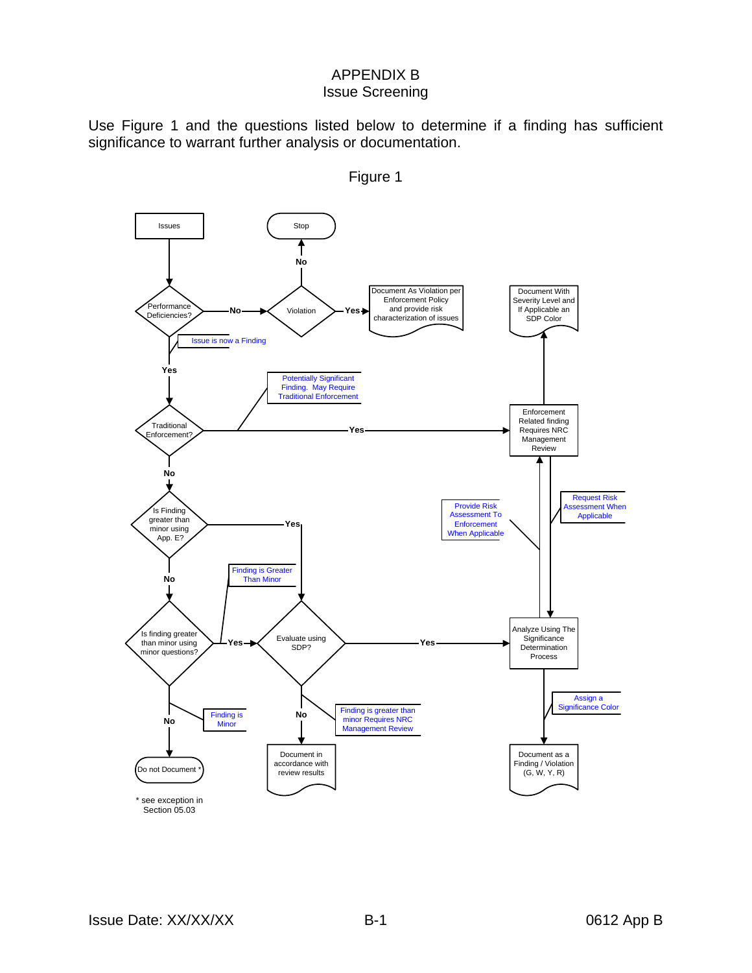#### APPENDIX B Issue Screening

Use Figure 1 and the questions listed below to determine if a finding has sufficient significance to warrant further analysis or documentation.



Figure 1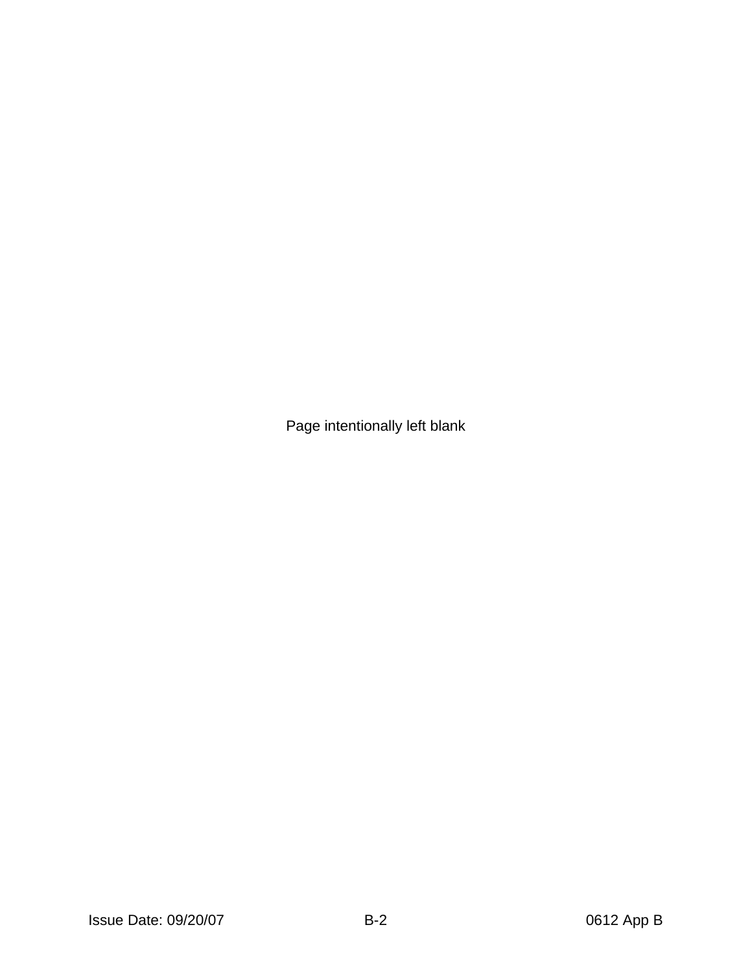Page intentionally left blank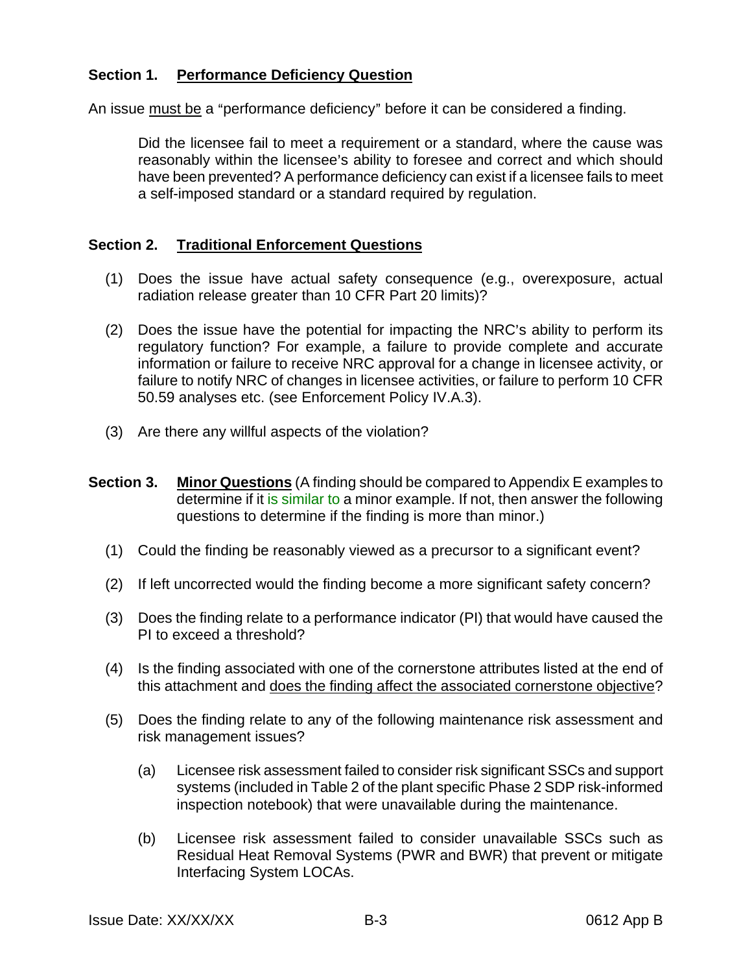# **Section 1. Performance Deficiency Question**

An issue must be a "performance deficiency" before it can be considered a finding.

Did the licensee fail to meet a requirement or a standard, where the cause was reasonably within the licensee's ability to foresee and correct and which should have been prevented? A performance deficiency can exist if a licensee fails to meet a self-imposed standard or a standard required by regulation.

#### **Section 2. Traditional Enforcement Questions**

- (1) Does the issue have actual safety consequence (e.g., overexposure, actual radiation release greater than 10 CFR Part 20 limits)?
- (2) Does the issue have the potential for impacting the NRC's ability to perform its regulatory function? For example, a failure to provide complete and accurate information or failure to receive NRC approval for a change in licensee activity, or failure to notify NRC of changes in licensee activities, or failure to perform 10 CFR 50.59 analyses etc. (see Enforcement Policy IV.A.3).
- (3) Are there any willful aspects of the violation?
- **Section 3. Minor Questions** (A finding should be compared to Appendix E examples to determine if it is similar to a minor example. If not, then answer the following questions to determine if the finding is more than minor.)
	- (1) Could the finding be reasonably viewed as a precursor to a significant event?
	- (2) If left uncorrected would the finding become a more significant safety concern?
	- (3) Does the finding relate to a performance indicator (PI) that would have caused the PI to exceed a threshold?
	- (4) Is the finding associated with one of the cornerstone attributes listed at the end of this attachment and does the finding affect the associated cornerstone objective?
	- (5) Does the finding relate to any of the following maintenance risk assessment and risk management issues?
		- (a) Licensee risk assessment failed to consider risk significant SSCs and support systems (included in Table 2 of the plant specific Phase 2 SDP risk-informed inspection notebook) that were unavailable during the maintenance.
		- (b) Licensee risk assessment failed to consider unavailable SSCs such as Residual Heat Removal Systems (PWR and BWR) that prevent or mitigate Interfacing System LOCAs.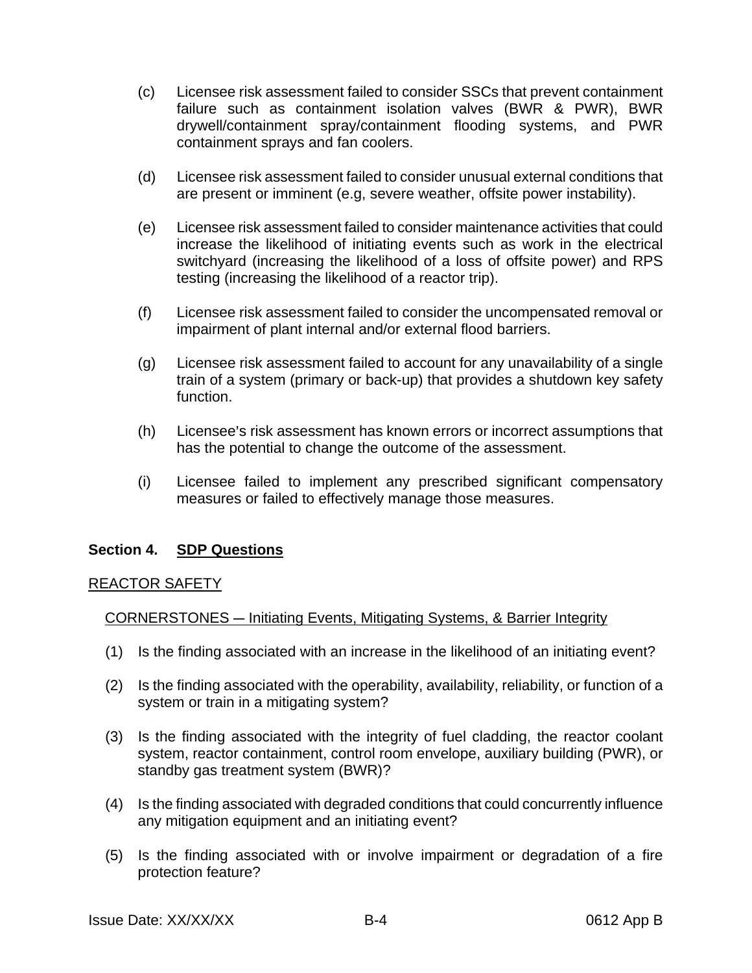- (c) Licensee risk assessment failed to consider SSCs that prevent containment failure such as containment isolation valves (BWR & PWR), BWR drywell/containment spray/containment flooding systems, and PWR containment sprays and fan coolers.
- (d) Licensee risk assessment failed to consider unusual external conditions that are present or imminent (e.g, severe weather, offsite power instability).
- (e) Licensee risk assessment failed to consider maintenance activities that could increase the likelihood of initiating events such as work in the electrical switchyard (increasing the likelihood of a loss of offsite power) and RPS testing (increasing the likelihood of a reactor trip).
- (f) Licensee risk assessment failed to consider the uncompensated removal or impairment of plant internal and/or external flood barriers.
- (g) Licensee risk assessment failed to account for any unavailability of a single train of a system (primary or back-up) that provides a shutdown key safety function.
- (h) Licensee's risk assessment has known errors or incorrect assumptions that has the potential to change the outcome of the assessment.
- (i) Licensee failed to implement any prescribed significant compensatory measures or failed to effectively manage those measures.

# **Section 4. SDP Questions**

# REACTOR SAFETY

# CORNERSTONES - Initiating Events, Mitigating Systems, & Barrier Integrity

- (1) Is the finding associated with an increase in the likelihood of an initiating event?
- (2) Is the finding associated with the operability, availability, reliability, or function of a system or train in a mitigating system?
- (3) Is the finding associated with the integrity of fuel cladding, the reactor coolant system, reactor containment, control room envelope, auxiliary building (PWR), or standby gas treatment system (BWR)?
- (4) Is the finding associated with degraded conditions that could concurrently influence any mitigation equipment and an initiating event?
- (5) Is the finding associated with or involve impairment or degradation of a fire protection feature?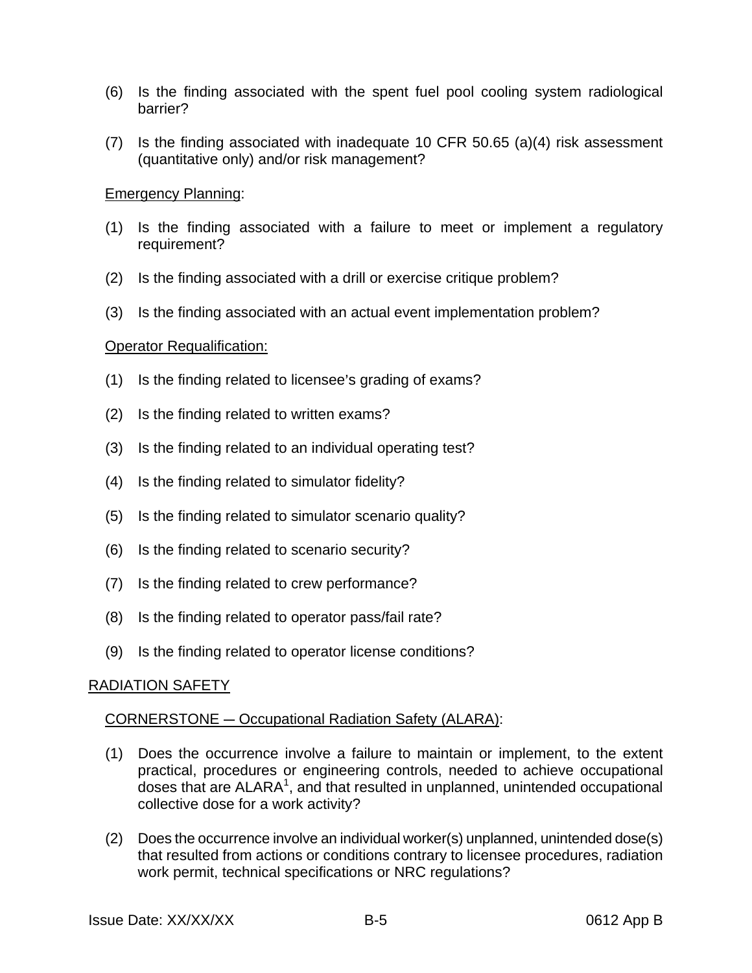- (6) Is the finding associated with the spent fuel pool cooling system radiological barrier?
- (7) Is the finding associated with inadequate 10 CFR 50.65 (a)(4) risk assessment (quantitative only) and/or risk management?

#### Emergency Planning:

- (1) Is the finding associated with a failure to meet or implement a regulatory requirement?
- (2) Is the finding associated with a drill or exercise critique problem?
- (3) Is the finding associated with an actual event implementation problem?

#### Operator Requalification:

- $(1)$  Is the finding related to licensee's grading of exams?
- (2) Is the finding related to written exams?
- (3) Is the finding related to an individual operating test?
- (4) Is the finding related to simulator fidelity?
- (5) Is the finding related to simulator scenario quality?
- (6) Is the finding related to scenario security?
- (7) Is the finding related to crew performance?
- (8) Is the finding related to operator pass/fail rate?
- (9) Is the finding related to operator license conditions?

#### RADIATION SAFETY

#### CORNERSTONE - Occupational Radiation Safety (ALARA):

- (1) Does the occurrence involve a failure to maintain or implement, to the extent practical, procedures or engineering controls, needed to achieve occupational doses that are  $ALARA^1$ , and that resulted in unplanned, unintended occupational collective dose for a work activity?
- (2) Does the occurrence involve an individual worker(s) unplanned, unintended dose(s) that resulted from actions or conditions contrary to licensee procedures, radiation work permit, technical specifications or NRC regulations?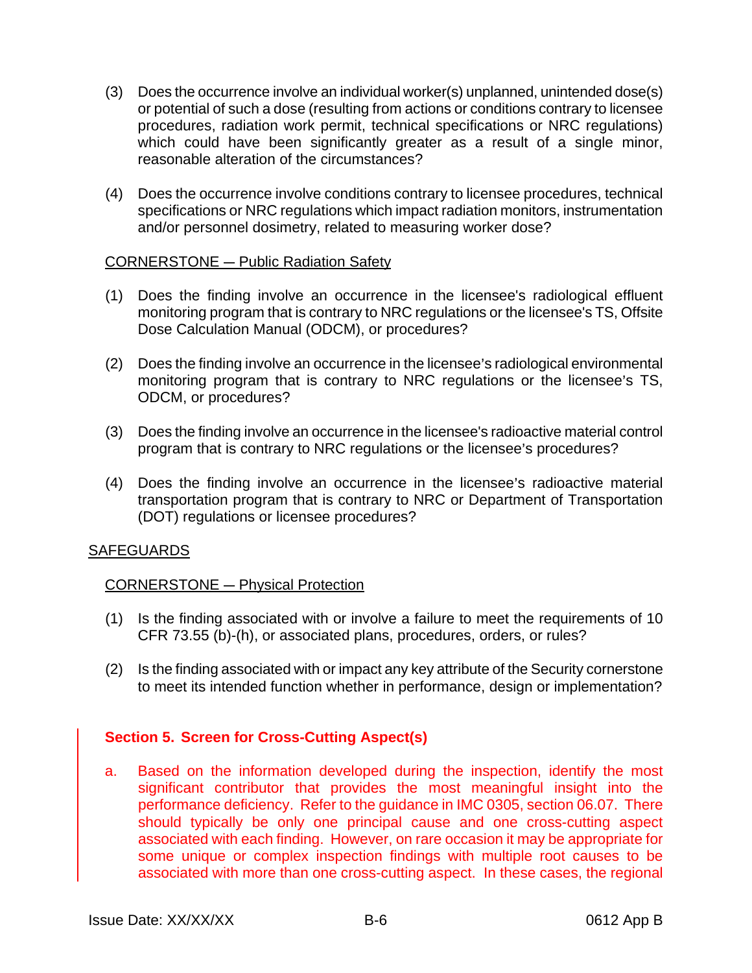- (3) Does the occurrence involve an individual worker(s) unplanned, unintended dose(s) or potential of such a dose (resulting from actions or conditions contrary to licensee procedures, radiation work permit, technical specifications or NRC regulations) which could have been significantly greater as a result of a single minor, reasonable alteration of the circumstances?
- (4) Does the occurrence involve conditions contrary to licensee procedures, technical specifications or NRC regulations which impact radiation monitors, instrumentation and/or personnel dosimetry, related to measuring worker dose?

#### CORNERSTONE - Public Radiation Safety

- (1) Does the finding involve an occurrence in the licensee's radiological effluent monitoring program that is contrary to NRC regulations or the licensee's TS, Offsite Dose Calculation Manual (ODCM), or procedures?
- (2) Does the finding involve an occurrence in the licensee's radiological environmental monitoring program that is contrary to NRC regulations or the licensee's TS, ODCM, or procedures?
- (3) Does the finding involve an occurrence in the licensee's radioactive material control program that is contrary to NRC regulations or the licensee's procedures?
- (4) Does the finding involve an occurrence in the licensee's radioactive material transportation program that is contrary to NRC or Department of Transportation (DOT) regulations or licensee procedures?

# SAFEGUARDS

#### CORNERSTONE - Physical Protection

- (1) Is the finding associated with or involve a failure to meet the requirements of 10 CFR 73.55 (b)-(h), or associated plans, procedures, orders, or rules?
- (2) Is the finding associated with or impact any key attribute of the Security cornerstone to meet its intended function whether in performance, design or implementation?

# **Section 5. Screen for Cross-Cutting Aspect(s)**

a. Based on the information developed during the inspection, identify the most significant contributor that provides the most meaningful insight into the performance deficiency. Refer to the guidance in IMC 0305, section 06.07. There should typically be only one principal cause and one cross-cutting aspect associated with each finding. However, on rare occasion it may be appropriate for some unique or complex inspection findings with multiple root causes to be associated with more than one cross-cutting aspect. In these cases, the regional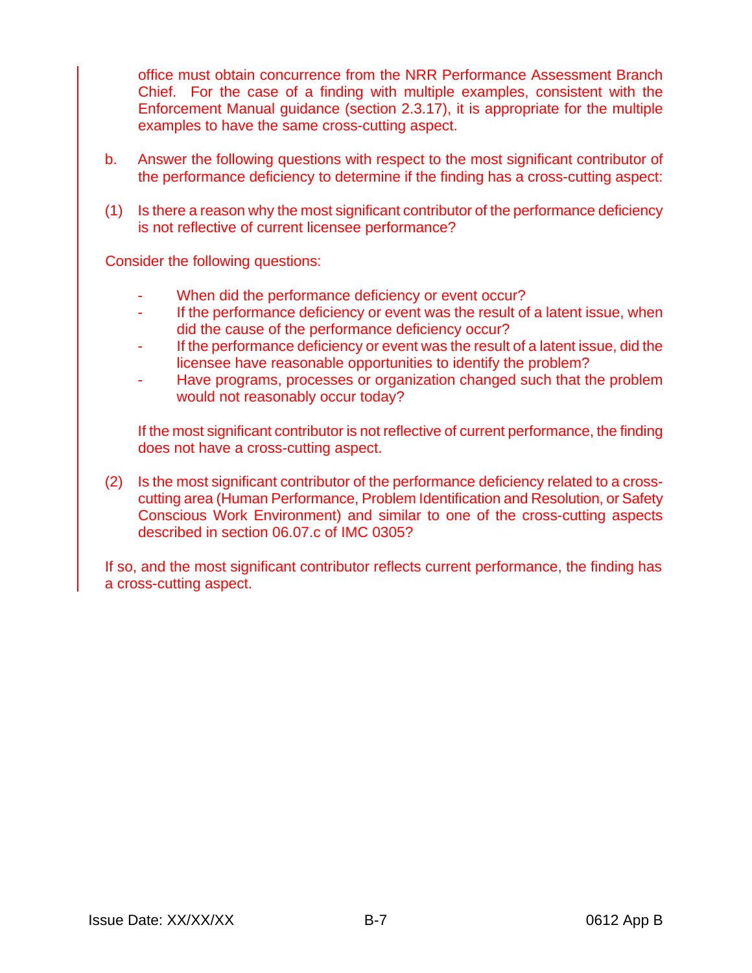office must obtain concurrence from the NRR Performance Assessment Branch Chief. For the case of a finding with multiple examples, consistent with the Enforcement Manual guidance (section 2.3.17), it is appropriate for the multiple examples to have the same cross-cutting aspect.

- b. Answer the following questions with respect to the most significant contributor of the performance deficiency to determine if the finding has a cross-cutting aspect:
- (1) Is there a reason why the most significant contributor of the performance deficiency is not reflective of current licensee performance?

Consider the following questions:

- When did the performance deficiency or event occur?
- If the performance deficiency or event was the result of a latent issue, when did the cause of the performance deficiency occur?
- If the performance deficiency or event was the result of a latent issue, did the licensee have reasonable opportunities to identify the problem?
- Have programs, processes or organization changed such that the problem would not reasonably occur today?

 If the most significant contributor is not reflective of current performance, the finding does not have a cross-cutting aspect.

(2) Is the most significant contributor of the performance deficiency related to a crosscutting area (Human Performance, Problem Identification and Resolution, or Safety Conscious Work Environment) and similar to one of the cross-cutting aspects described in section 06.07.c of IMC 0305?

If so, and the most significant contributor reflects current performance, the finding has a cross-cutting aspect.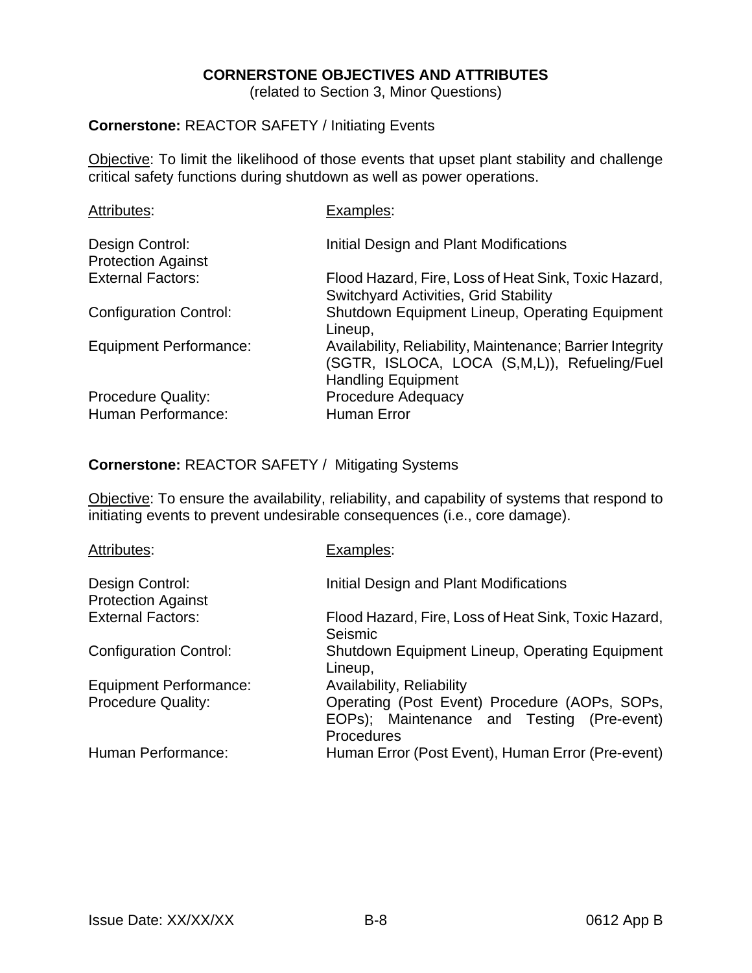#### **CORNERSTONE OBJECTIVES AND ATTRIBUTES**

(related to Section 3, Minor Questions)

#### **Cornerstone:** REACTOR SAFETY / Initiating Events

Objective: To limit the likelihood of those events that upset plant stability and challenge critical safety functions during shutdown as well as power operations.

| Attributes:                                  | Examples:                                                                                                                              |
|----------------------------------------------|----------------------------------------------------------------------------------------------------------------------------------------|
| Design Control:<br><b>Protection Against</b> | Initial Design and Plant Modifications                                                                                                 |
| <b>External Factors:</b>                     | Flood Hazard, Fire, Loss of Heat Sink, Toxic Hazard,<br><b>Switchyard Activities, Grid Stability</b>                                   |
| <b>Configuration Control:</b>                | Shutdown Equipment Lineup, Operating Equipment<br>Lineup,                                                                              |
| <b>Equipment Performance:</b>                | Availability, Reliability, Maintenance; Barrier Integrity<br>(SGTR, ISLOCA, LOCA (S,M,L)), Refueling/Fuel<br><b>Handling Equipment</b> |
| <b>Procedure Quality:</b>                    | <b>Procedure Adequacy</b>                                                                                                              |
| Human Performance:                           | <b>Human Error</b>                                                                                                                     |

**Cornerstone:** REACTOR SAFETY / Mitigating Systems

Objective: To ensure the availability, reliability, and capability of systems that respond to initiating events to prevent undesirable consequences (i.e., core damage).

| Attributes:                                  | Examples:                                                       |  |  |  |
|----------------------------------------------|-----------------------------------------------------------------|--|--|--|
| Design Control:<br><b>Protection Against</b> | Initial Design and Plant Modifications                          |  |  |  |
| <b>External Factors:</b>                     | Flood Hazard, Fire, Loss of Heat Sink, Toxic Hazard,<br>Seismic |  |  |  |
| <b>Configuration Control:</b>                | Shutdown Equipment Lineup, Operating Equipment<br>Lineup,       |  |  |  |
| <b>Equipment Performance:</b>                | Availability, Reliability                                       |  |  |  |
| <b>Procedure Quality:</b>                    | Operating (Post Event) Procedure (AOPs, SOPs,                   |  |  |  |
|                                              | EOPs); Maintenance and Testing (Pre-event)<br><b>Procedures</b> |  |  |  |
| Human Performance:                           | Human Error (Post Event), Human Error (Pre-event)               |  |  |  |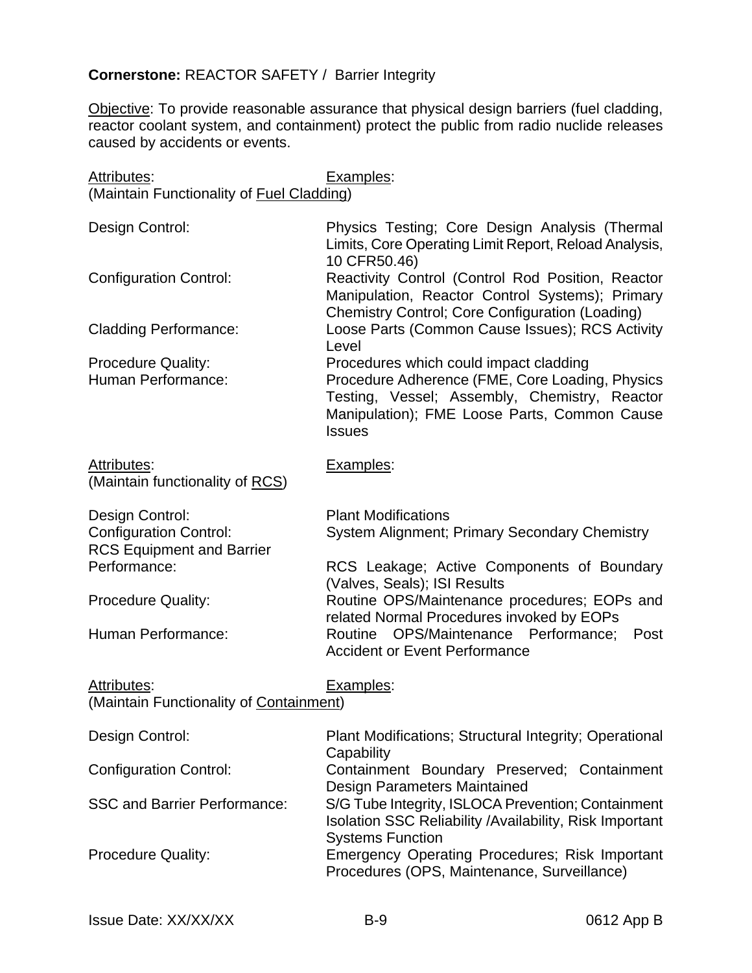# **Cornerstone:** REACTOR SAFETY / Barrier Integrity

Objective: To provide reasonable assurance that physical design barriers (fuel cladding, reactor coolant system, and containment) protect the public from radio nuclide releases caused by accidents or events.

| Examples:<br>(Maintain Functionality of Fuel Cladding)                                                                                                                                                                                                        |
|---------------------------------------------------------------------------------------------------------------------------------------------------------------------------------------------------------------------------------------------------------------|
| Physics Testing; Core Design Analysis (Thermal<br>Limits, Core Operating Limit Report, Reload Analysis,<br>10 CFR50.46)                                                                                                                                       |
| Reactivity Control (Control Rod Position, Reactor<br>Manipulation, Reactor Control Systems); Primary<br>Chemistry Control; Core Configuration (Loading)                                                                                                       |
| Loose Parts (Common Cause Issues); RCS Activity<br>Level                                                                                                                                                                                                      |
| Procedures which could impact cladding<br>Procedure Adherence (FME, Core Loading, Physics<br>Testing, Vessel; Assembly, Chemistry, Reactor<br>Manipulation); FME Loose Parts, Common Cause<br><b>Issues</b>                                                   |
| Examples:                                                                                                                                                                                                                                                     |
| <b>Plant Modifications</b><br><b>System Alignment; Primary Secondary Chemistry</b><br>RCS Leakage; Active Components of Boundary<br>(Valves, Seals); ISI Results<br>Routine OPS/Maintenance procedures; EOPs and<br>related Normal Procedures invoked by EOPs |
| Routine OPS/Maintenance Performance;<br>Post<br><b>Accident or Event Performance</b>                                                                                                                                                                          |
| Examples:<br>(Maintain Functionality of Containment)                                                                                                                                                                                                          |
| Plant Modifications; Structural Integrity; Operational<br>Capability                                                                                                                                                                                          |
| Containment Boundary Preserved; Containment<br>Design Parameters Maintained                                                                                                                                                                                   |
| S/G Tube Integrity, ISLOCA Prevention; Containment<br><b>Isolation SSC Reliability / Availability, Risk Important</b><br><b>Systems Function</b>                                                                                                              |
| Emergency Operating Procedures; Risk Important<br>Procedures (OPS, Maintenance, Surveillance)                                                                                                                                                                 |
|                                                                                                                                                                                                                                                               |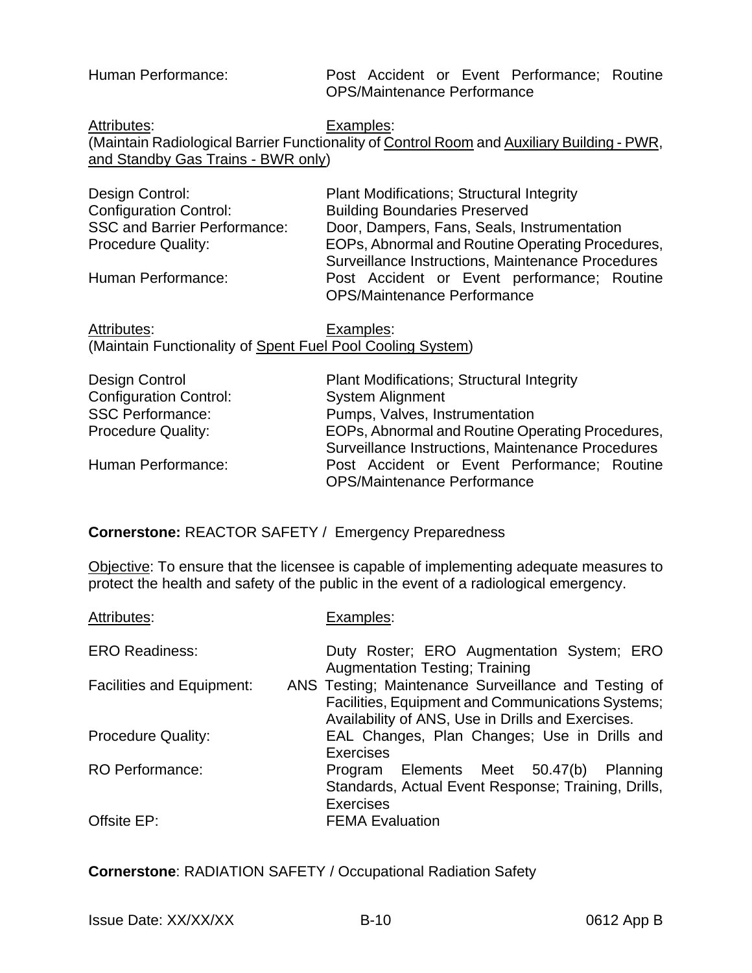| Human Performance:                                                                                                                                           | Post Accident or Event Performance; Routine<br><b>OPS/Maintenance Performance</b>                                                                                                                                                                                                                                                     |  |  |  |  |
|--------------------------------------------------------------------------------------------------------------------------------------------------------------|---------------------------------------------------------------------------------------------------------------------------------------------------------------------------------------------------------------------------------------------------------------------------------------------------------------------------------------|--|--|--|--|
| Attributes:<br>Examples:<br>(Maintain Radiological Barrier Functionality of Control Room and Auxiliary Building - PWR,<br>and Standby Gas Trains - BWR only) |                                                                                                                                                                                                                                                                                                                                       |  |  |  |  |
| Design Control:<br><b>Configuration Control:</b><br><b>SSC and Barrier Performance:</b><br><b>Procedure Quality:</b><br>Human Performance:                   | <b>Plant Modifications; Structural Integrity</b><br><b>Building Boundaries Preserved</b><br>Door, Dampers, Fans, Seals, Instrumentation<br>EOPs, Abnormal and Routine Operating Procedures,<br>Surveillance Instructions, Maintenance Procedures<br>Post Accident or Event performance; Routine<br><b>OPS/Maintenance Performance</b> |  |  |  |  |
| Attributes:<br>Examples:<br>(Maintain Functionality of Spent Fuel Pool Cooling System)                                                                       |                                                                                                                                                                                                                                                                                                                                       |  |  |  |  |
| Design Control<br><b>Configuration Control:</b><br><b>SSC Performance:</b><br><b>Procedure Quality:</b><br>Human Performance:                                | <b>Plant Modifications; Structural Integrity</b><br><b>System Alignment</b><br>Pumps, Valves, Instrumentation<br>EOPs, Abnormal and Routine Operating Procedures,<br>Surveillance Instructions, Maintenance Procedures<br>Post Accident or Event Performance; Routine<br><b>OPS/Maintenance Performance</b>                           |  |  |  |  |

**Cornerstone:** REACTOR SAFETY / Emergency Preparedness

Objective: To ensure that the licensee is capable of implementing adequate measures to protect the health and safety of the public in the event of a radiological emergency.

| Attributes:                      | Examples:                                                                                                                                                      |  |  |  |  |
|----------------------------------|----------------------------------------------------------------------------------------------------------------------------------------------------------------|--|--|--|--|
| <b>ERO Readiness:</b>            | Duty Roster; ERO Augmentation System; ERO<br><b>Augmentation Testing; Training</b>                                                                             |  |  |  |  |
| <b>Facilities and Equipment:</b> | ANS Testing; Maintenance Surveillance and Testing of<br>Facilities, Equipment and Communications Systems;<br>Availability of ANS, Use in Drills and Exercises. |  |  |  |  |
| <b>Procedure Quality:</b>        | EAL Changes, Plan Changes; Use in Drills and<br><b>Exercises</b>                                                                                               |  |  |  |  |
| <b>RO Performance:</b>           | Program Elements Meet 50.47(b)<br>Planning<br>Standards, Actual Event Response; Training, Drills,<br><b>Exercises</b>                                          |  |  |  |  |
| Offsite EP:                      | <b>FEMA Evaluation</b>                                                                                                                                         |  |  |  |  |

**Cornerstone**: RADIATION SAFETY / Occupational Radiation Safety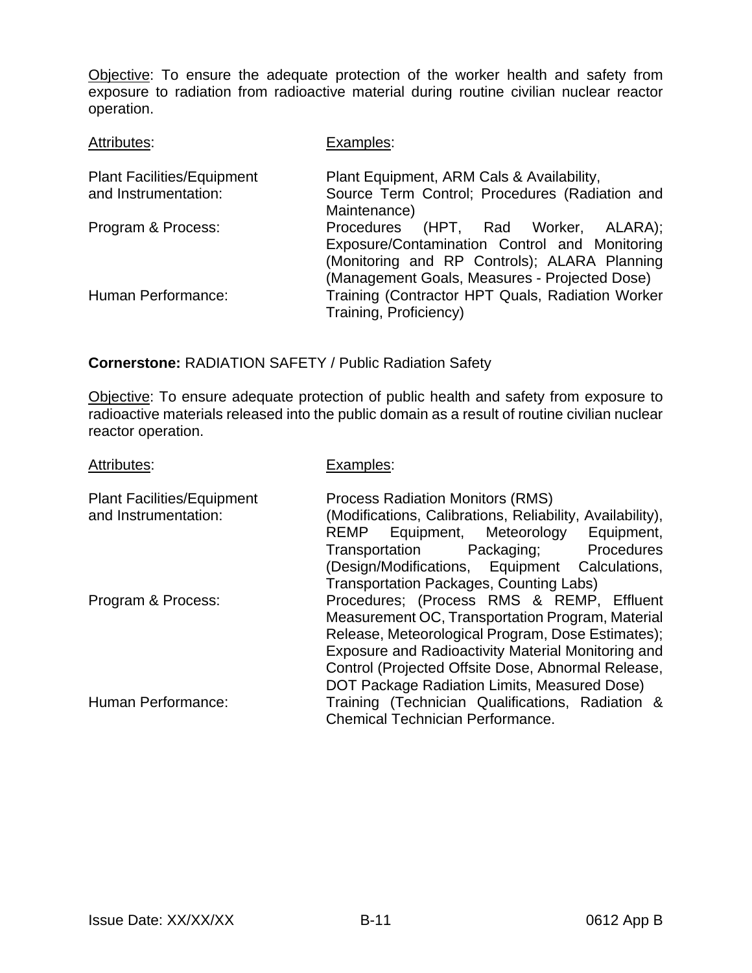Objective: To ensure the adequate protection of the worker health and safety from exposure to radiation from radioactive material during routine civilian nuclear reactor operation.

| Attributes:                                               | Examples:                                                                                                                                                                              |  |  |  |
|-----------------------------------------------------------|----------------------------------------------------------------------------------------------------------------------------------------------------------------------------------------|--|--|--|
| <b>Plant Facilities/Equipment</b><br>and Instrumentation: | Plant Equipment, ARM Cals & Availability,<br>Source Term Control; Procedures (Radiation and<br>Maintenance)                                                                            |  |  |  |
| Program & Process:                                        | Procedures (HPT, Rad Worker, ALARA);<br>Exposure/Contamination Control and Monitoring<br>(Monitoring and RP Controls); ALARA Planning<br>(Management Goals, Measures - Projected Dose) |  |  |  |
| Human Performance:                                        | Training (Contractor HPT Quals, Radiation Worker<br>Training, Proficiency)                                                                                                             |  |  |  |

**Cornerstone:** RADIATION SAFETY / Public Radiation Safety

Objective: To ensure adequate protection of public health and safety from exposure to radioactive materials released into the public domain as a result of routine civilian nuclear reactor operation.

| Attributes:                                               | Examples:                                                                                                                                                                                                                                                                                                      |
|-----------------------------------------------------------|----------------------------------------------------------------------------------------------------------------------------------------------------------------------------------------------------------------------------------------------------------------------------------------------------------------|
| <b>Plant Facilities/Equipment</b><br>and Instrumentation: | <b>Process Radiation Monitors (RMS)</b><br>(Modifications, Calibrations, Reliability, Availability),<br>Equipment,<br>Equipment, Meteorology<br><b>REMP</b><br>Transportation Packaging; Procedures                                                                                                            |
|                                                           | (Design/Modifications, Equipment Calculations,<br><b>Transportation Packages, Counting Labs)</b>                                                                                                                                                                                                               |
| Program & Process:                                        | Procedures; (Process RMS & REMP, Effluent<br>Measurement OC, Transportation Program, Material<br>Release, Meteorological Program, Dose Estimates);<br>Exposure and Radioactivity Material Monitoring and<br>Control (Projected Offsite Dose, Abnormal Release,<br>DOT Package Radiation Limits, Measured Dose) |
| Human Performance:                                        | Training (Technician Qualifications, Radiation &<br><b>Chemical Technician Performance.</b>                                                                                                                                                                                                                    |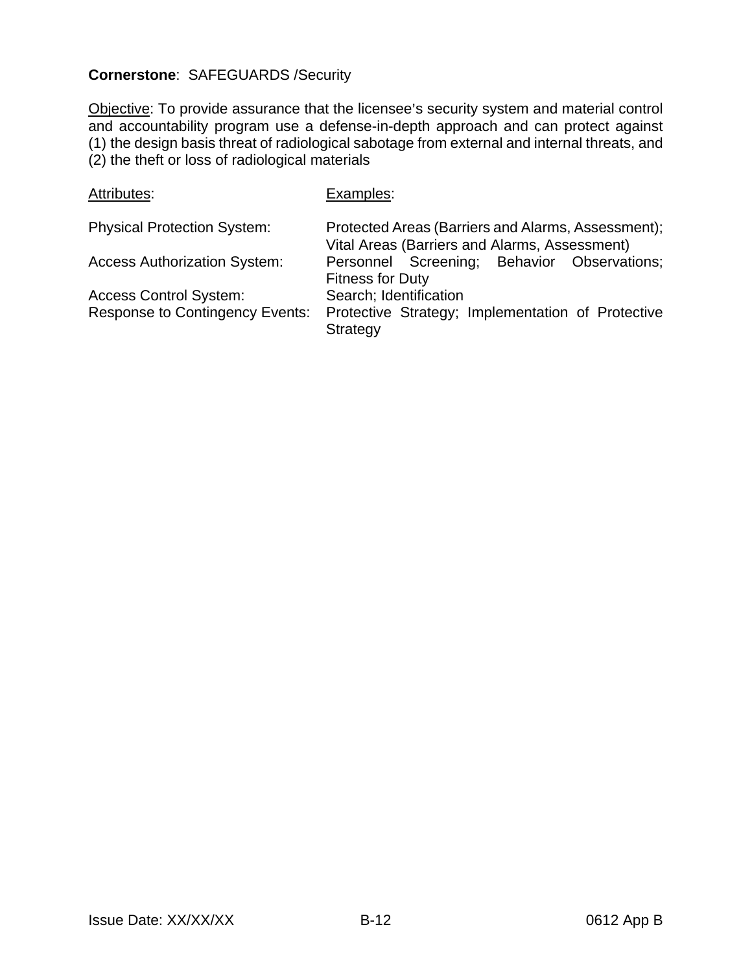# **Cornerstone**: SAFEGUARDS /Security

Objective: To provide assurance that the licensee's security system and material control and accountability program use a defense-in-depth approach and can protect against (1) the design basis threat of radiological sabotage from external and internal threats, and (2) the theft or loss of radiological materials

| Attributes:                            | Examples:                                                                                           |
|----------------------------------------|-----------------------------------------------------------------------------------------------------|
| <b>Physical Protection System:</b>     | Protected Areas (Barriers and Alarms, Assessment);<br>Vital Areas (Barriers and Alarms, Assessment) |
| <b>Access Authorization System:</b>    | Personnel Screening; Behavior Observations;<br><b>Fitness for Duty</b>                              |
| <b>Access Control System:</b>          | Search; Identification                                                                              |
| <b>Response to Contingency Events:</b> | Protective Strategy; Implementation of Protective<br><b>Strategy</b>                                |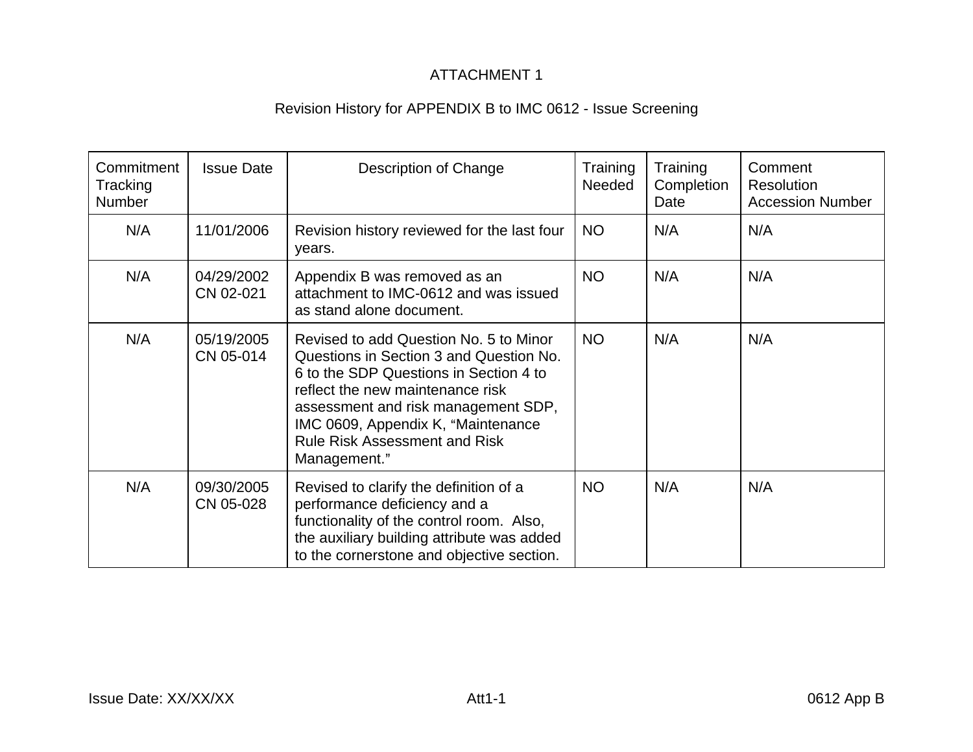# ATTACHMENT 1

# Revision History for APPENDIX B to IMC 0612 - Issue Screening

| Commitment<br><b>Tracking</b><br><b>Number</b> | <b>Issue Date</b>       | Description of Change                                                                                                                                                                                                                                                                                | Training<br>Needed | Training<br>Completion<br>Date | Comment<br><b>Resolution</b><br><b>Accession Number</b> |
|------------------------------------------------|-------------------------|------------------------------------------------------------------------------------------------------------------------------------------------------------------------------------------------------------------------------------------------------------------------------------------------------|--------------------|--------------------------------|---------------------------------------------------------|
| N/A                                            | 11/01/2006              | Revision history reviewed for the last four<br>years.                                                                                                                                                                                                                                                | <b>NO</b>          | N/A                            | N/A                                                     |
| N/A                                            | 04/29/2002<br>CN 02-021 | Appendix B was removed as an<br>attachment to IMC-0612 and was issued<br>as stand alone document.                                                                                                                                                                                                    | <b>NO</b>          | N/A                            | N/A                                                     |
| N/A                                            | 05/19/2005<br>CN 05-014 | Revised to add Question No. 5 to Minor<br>Questions in Section 3 and Question No.<br>6 to the SDP Questions in Section 4 to<br>reflect the new maintenance risk<br>assessment and risk management SDP,<br>IMC 0609, Appendix K, "Maintenance<br><b>Rule Risk Assessment and Risk</b><br>Management." | <b>NO</b>          | N/A                            | N/A                                                     |
| N/A                                            | 09/30/2005<br>CN 05-028 | Revised to clarify the definition of a<br>performance deficiency and a<br>functionality of the control room. Also,<br>the auxiliary building attribute was added<br>to the cornerstone and objective section.                                                                                        | <b>NO</b>          | N/A                            | N/A                                                     |